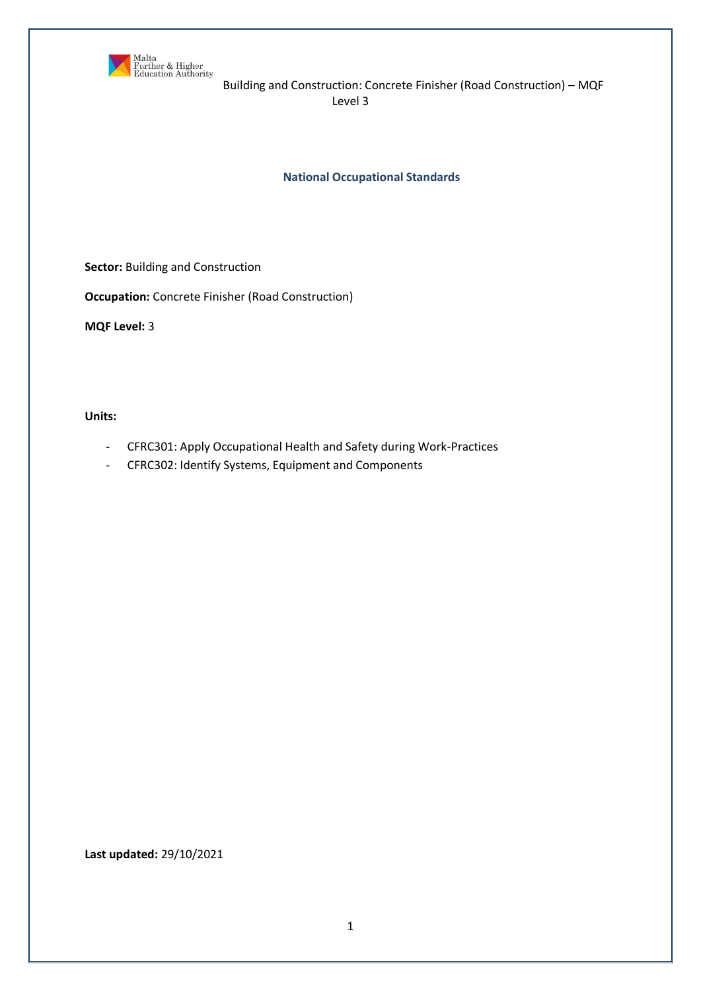

Building and Construction: Concrete Finisher (Road Construction) – MQF Level 3

**National Occupational Standards**

**Sector:** Building and Construction

**Occupation:** Concrete Finisher (Road Construction)

**MQF Level:** 3

**Units:** 

- CFRC301: Apply Occupational Health and Safety during Work-Practices
- CFRC302: Identify Systems, Equipment and Components

**Last updated:** 29/10/2021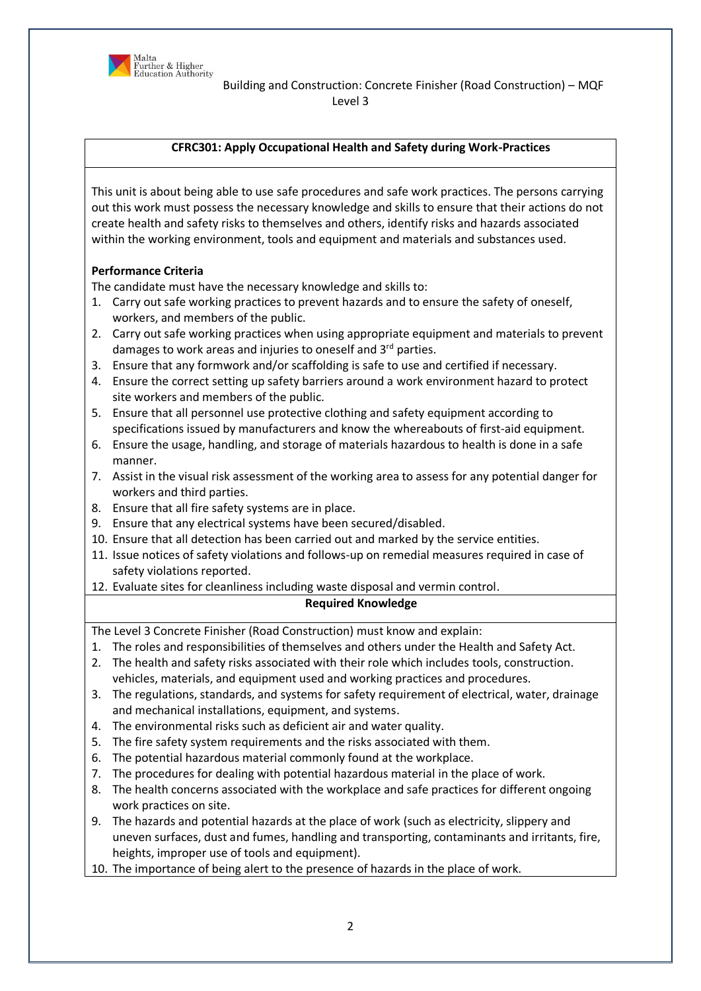

# **CFRC301: Apply Occupational Health and Safety during Work-Practices**

This unit is about being able to use safe procedures and safe work practices. The persons carrying out this work must possess the necessary knowledge and skills to ensure that their actions do not create health and safety risks to themselves and others, identify risks and hazards associated within the working environment, tools and equipment and materials and substances used.

# **Performance Criteria**

The candidate must have the necessary knowledge and skills to:

- 1. Carry out safe working practices to prevent hazards and to ensure the safety of oneself, workers, and members of the public.
- 2. Carry out safe working practices when using appropriate equipment and materials to prevent damages to work areas and injuries to oneself and 3<sup>rd</sup> parties.
- 3. Ensure that any formwork and/or scaffolding is safe to use and certified if necessary.
- 4. Ensure the correct setting up safety barriers around a work environment hazard to protect site workers and members of the public.
- 5. Ensure that all personnel use protective clothing and safety equipment according to specifications issued by manufacturers and know the whereabouts of first-aid equipment.
- 6. Ensure the usage, handling, and storage of materials hazardous to health is done in a safe manner.
- 7. Assist in the visual risk assessment of the working area to assess for any potential danger for workers and third parties.
- 8. Ensure that all fire safety systems are in place.
- 9. Ensure that any electrical systems have been secured/disabled.
- 10. Ensure that all detection has been carried out and marked by the service entities.
- 11. Issue notices of safety violations and follows-up on remedial measures required in case of safety violations reported.
- 12. Evaluate sites for cleanliness including waste disposal and vermin control.

# **Required Knowledge**

The Level 3 Concrete Finisher (Road Construction) must know and explain:

- 1. The roles and responsibilities of themselves and others under the Health and Safety Act.
- 2. The health and safety risks associated with their role which includes tools, construction. vehicles, materials, and equipment used and working practices and procedures.
- 3. The regulations, standards, and systems for safety requirement of electrical, water, drainage and mechanical installations, equipment, and systems.
- 4. The environmental risks such as deficient air and water quality.
- 5. The fire safety system requirements and the risks associated with them.
- 6. The potential hazardous material commonly found at the workplace.
- 7. The procedures for dealing with potential hazardous material in the place of work.
- 8. The health concerns associated with the workplace and safe practices for different ongoing work practices on site.
- 9. The hazards and potential hazards at the place of work (such as electricity, slippery and uneven surfaces, dust and fumes, handling and transporting, contaminants and irritants, fire, heights, improper use of tools and equipment).
- 10. The importance of being alert to the presence of hazards in the place of work.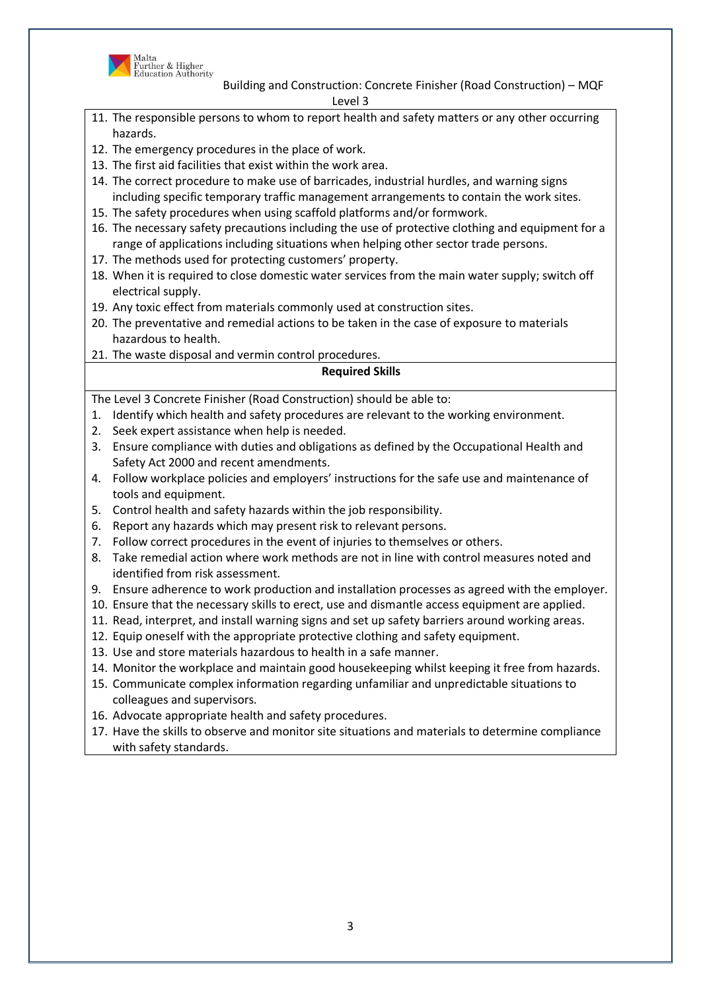

Building and Construction: Concrete Finisher (Road Construction) – MQF Level 3

- 11. The responsible persons to whom to report health and safety matters or any other occurring hazards.
- 12. The emergency procedures in the place of work.
- 13. The first aid facilities that exist within the work area.
- 14. The correct procedure to make use of barricades, industrial hurdles, and warning signs including specific temporary traffic management arrangements to contain the work sites.
- 15. The safety procedures when using scaffold platforms and/or formwork.
- 16. The necessary safety precautions including the use of protective clothing and equipment for a range of applications including situations when helping other sector trade persons.
- 17. The methods used for protecting customers' property.
- 18. When it is required to close domestic water services from the main water supply; switch off electrical supply.
- 19. Any toxic effect from materials commonly used at construction sites.
- 20. The preventative and remedial actions to be taken in the case of exposure to materials hazardous to health.
- 21. The waste disposal and vermin control procedures.

# **Required Skills**

The Level 3 Concrete Finisher (Road Construction) should be able to:

- 1. Identify which health and safety procedures are relevant to the working environment.
- 2. Seek expert assistance when help is needed.
- 3. Ensure compliance with duties and obligations as defined by the Occupational Health and Safety Act 2000 and recent amendments.
- 4. Follow workplace policies and employers' instructions for the safe use and maintenance of tools and equipment.
- 5. Control health and safety hazards within the job responsibility.
- 6. Report any hazards which may present risk to relevant persons.
- 7. Follow correct procedures in the event of injuries to themselves or others.
- 8. Take remedial action where work methods are not in line with control measures noted and identified from risk assessment.
- 9. Ensure adherence to work production and installation processes as agreed with the employer.
- 10. Ensure that the necessary skills to erect, use and dismantle access equipment are applied.
- 11. Read, interpret, and install warning signs and set up safety barriers around working areas.
- 12. Equip oneself with the appropriate protective clothing and safety equipment.
- 13. Use and store materials hazardous to health in a safe manner.
- 14. Monitor the workplace and maintain good housekeeping whilst keeping it free from hazards.
- 15. Communicate complex information regarding unfamiliar and unpredictable situations to colleagues and supervisors.
- 16. Advocate appropriate health and safety procedures.
- 17. Have the skills to observe and monitor site situations and materials to determine compliance with safety standards.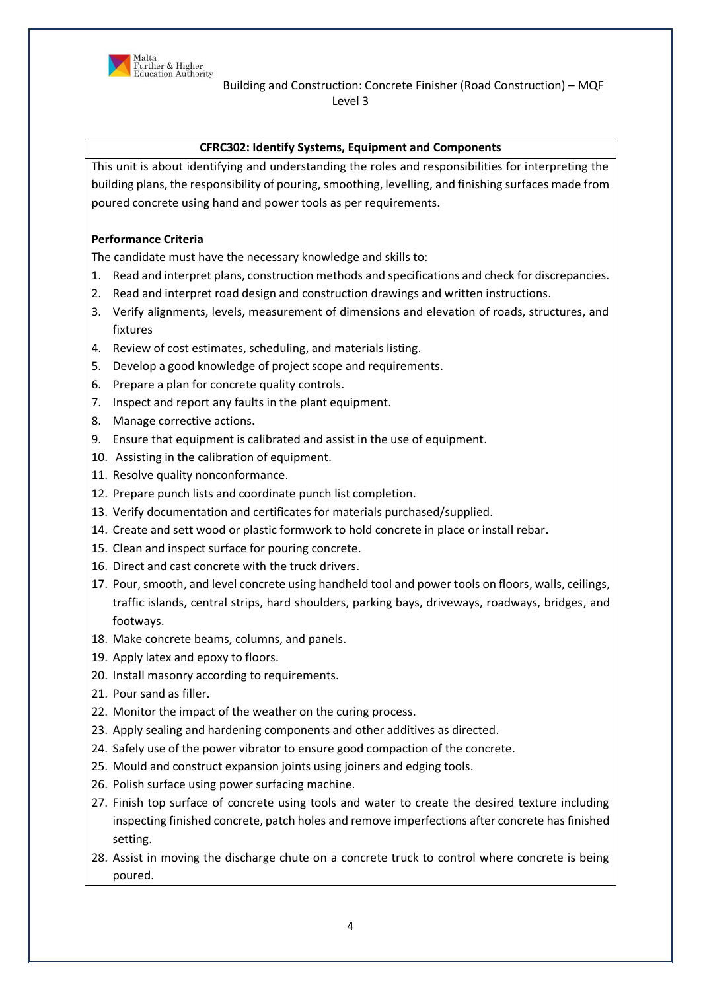

### **CFRC302: Identify Systems, Equipment and Components**

This unit is about identifying and understanding the roles and responsibilities for interpreting the building plans, the responsibility of pouring, smoothing, levelling, and finishing surfaces made from poured concrete using hand and power tools as per requirements.

### **Performance Criteria**

The candidate must have the necessary knowledge and skills to:

- 1. Read and interpret plans, construction methods and specifications and check for discrepancies.
- 2. Read and interpret road design and construction drawings and written instructions.
- 3. Verify alignments, levels, measurement of dimensions and elevation of roads, structures, and fixtures
- 4. Review of cost estimates, scheduling, and materials listing.
- 5. Develop a good knowledge of project scope and requirements.
- 6. Prepare a plan for concrete quality controls.
- 7. Inspect and report any faults in the plant equipment.
- 8. Manage corrective actions.
- 9. Ensure that equipment is calibrated and assist in the use of equipment.
- 10. Assisting in the calibration of equipment.
- 11. Resolve quality nonconformance.
- 12. Prepare punch lists and coordinate punch list completion.
- 13. Verify documentation and certificates for materials purchased/supplied.
- 14. Create and sett wood or plastic formwork to hold concrete in place or install rebar.
- 15. Clean and inspect surface for pouring concrete.
- 16. Direct and cast concrete with the truck drivers.
- 17. Pour, smooth, and level concrete using handheld tool and power tools on floors, walls, ceilings, traffic islands, central strips, hard shoulders, parking bays, driveways, roadways, bridges, and footways.
- 18. Make concrete beams, columns, and panels.
- 19. Apply latex and epoxy to floors.
- 20. Install masonry according to requirements.
- 21. Pour sand as filler.
- 22. Monitor the impact of the weather on the curing process.
- 23. Apply sealing and hardening components and other additives as directed.
- 24. Safely use of the power vibrator to ensure good compaction of the concrete.
- 25. Mould and construct expansion joints using joiners and edging tools.
- 26. Polish surface using power surfacing machine.
- 27. Finish top surface of concrete using tools and water to create the desired texture including inspecting finished concrete, patch holes and remove imperfections after concrete has finished setting.
- 28. Assist in moving the discharge chute on a concrete truck to control where concrete is being poured.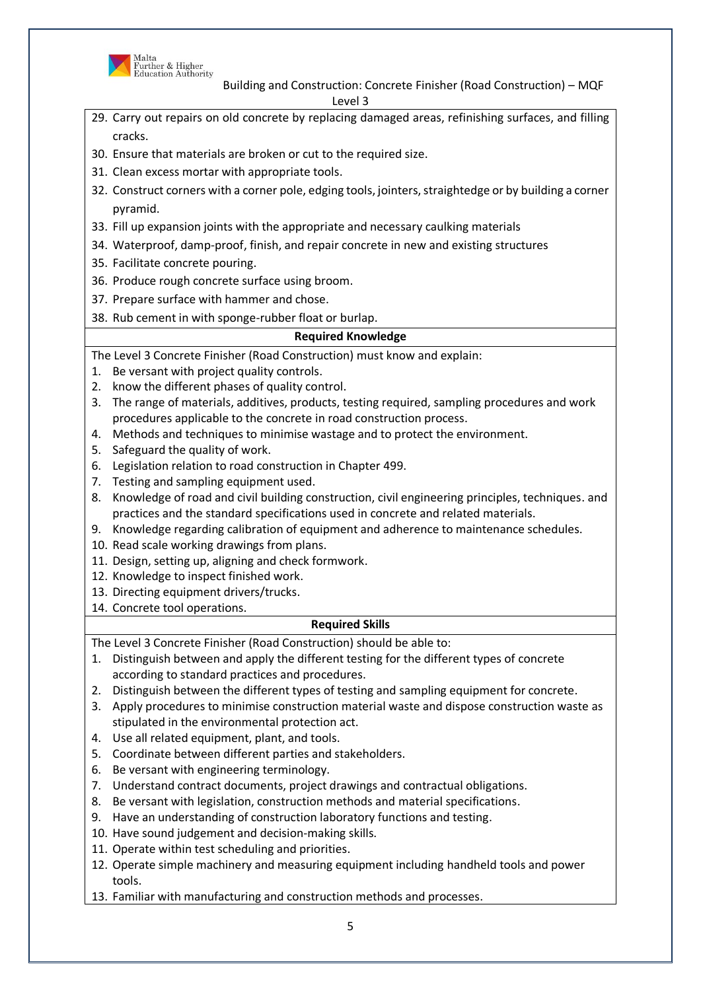

Building and Construction: Concrete Finisher (Road Construction) – MQF Level 3

5 29. Carry out repairs on old concrete by replacing damaged areas, refinishing surfaces, and filling cracks. 30. Ensure that materials are broken or cut to the required size. 31. Clean excess mortar with appropriate tools. 32. Construct corners with a corner pole, edging tools, jointers, straightedge or by building a corner pyramid. 33. Fill up expansion joints with the appropriate and necessary caulking materials 34. Waterproof, damp-proof, finish, and repair concrete in new and existing structures 35. Facilitate concrete pouring. 36. Produce rough concrete surface using broom. 37. Prepare surface with hammer and chose. 38. Rub cement in with sponge-rubber float or burlap. **Required Knowledge** The Level 3 Concrete Finisher (Road Construction) must know and explain: 1. Be versant with project quality controls. 2. know the different phases of quality control. 3. The range of materials, additives, products, testing required, sampling procedures and work procedures applicable to the concrete in road construction process. 4. Methods and techniques to minimise wastage and to protect the environment. 5. Safeguard the quality of work. 6. Legislation relation to road construction in Chapter 499. 7. Testing and sampling equipment used. 8. Knowledge of road and civil building construction, civil engineering principles, techniques. and practices and the standard specifications used in concrete and related materials. 9. Knowledge regarding calibration of equipment and adherence to maintenance schedules. 10. Read scale working drawings from plans. 11. Design, setting up, aligning and check formwork. 12. Knowledge to inspect finished work. 13. Directing equipment drivers/trucks. 14. Concrete tool operations. **Required Skills** The Level 3 Concrete Finisher (Road Construction) should be able to: 1. Distinguish between and apply the different testing for the different types of concrete according to standard practices and procedures. 2. Distinguish between the different types of testing and sampling equipment for concrete. 3. Apply procedures to minimise construction material waste and dispose construction waste as stipulated in the environmental protection act. 4. Use all related equipment, plant, and tools. 5. Coordinate between different parties and stakeholders. 6. Be versant with engineering terminology. 7. Understand contract documents, project drawings and contractual obligations. 8. Be versant with legislation, construction methods and material specifications. 9. Have an understanding of construction laboratory functions and testing. 10. Have sound judgement and decision-making skills. 11. Operate within test scheduling and priorities. 12. Operate simple machinery and measuring equipment including handheld tools and power tools. 13. Familiar with manufacturing and construction methods and processes.